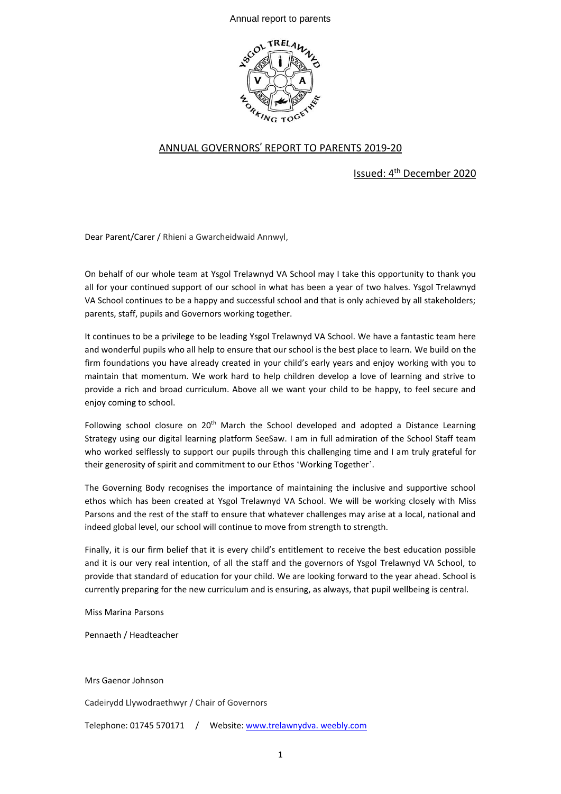Annual report to parents



## ANNUAL GOVERNORS' REPORT TO PARENTS 2019-20

Issued: 4<sup>th</sup> December 2020

Dear Parent/Carer / Rhieni a Gwarcheidwaid Annwyl,

On behalf of our whole team at Ysgol Trelawnyd VA School may I take this opportunity to thank you all for your continued support of our school in what has been a year of two halves. Ysgol Trelawnyd VA School continues to be a happy and successful school and that is only achieved by all stakeholders; parents, staff, pupils and Governors working together.

It continues to be a privilege to be leading Ysgol Trelawnyd VA School. We have a fantastic team here and wonderful pupils who all help to ensure that our school is the best place to learn. We build on the firm foundations you have already created in your child's early years and enjoy working with you to maintain that momentum. We work hard to help children develop a love of learning and strive to provide a rich and broad curriculum. Above all we want your child to be happy, to feel secure and enjoy coming to school.

Following school closure on 20<sup>th</sup> March the School developed and adopted a Distance Learning Strategy using our digital learning platform SeeSaw. I am in full admiration of the School Staff team who worked selflessly to support our pupils through this challenging time and I am truly grateful for their generosity of spirit and commitment to our Ethos 'Working Together'.

The Governing Body recognises the importance of maintaining the inclusive and supportive school ethos which has been created at Ysgol Trelawnyd VA School. We will be working closely with Miss Parsons and the rest of the staff to ensure that whatever challenges may arise at a local, national and indeed global level, our school will continue to move from strength to strength.

Finally, it is our firm belief that it is every child's entitlement to receive the best education possible and it is our very real intention, of all the staff and the governors of Ysgol Trelawnyd VA School, to provide that standard of education for your child. We are looking forward to the year ahead. School is currently preparing for the new curriculum and is ensuring, as always, that pupil wellbeing is central.

Miss Marina Parsons

Pennaeth / Headteacher

Mrs Gaenor Johnson

Cadeirydd Llywodraethwyr / Chair of Governors

Telephone: 01745 570171 / Website: www.trelawnydva. weebly.com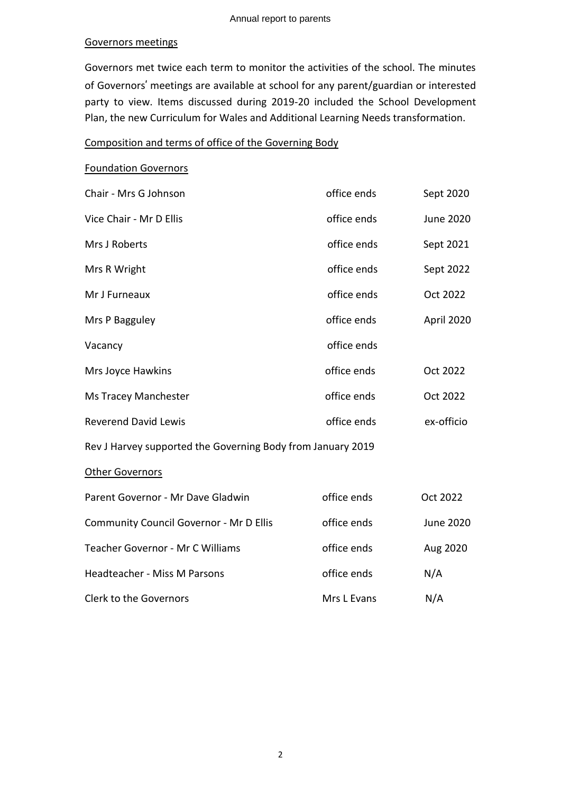#### Governors meetings

Governors met twice each term to monitor the activities of the school. The minutes of Governors' meetings are available at school for any parent/guardian or interested party to view. Items discussed during 2019-20 included the School Development Plan, the new Curriculum for Wales and Additional Learning Needs transformation.

## Composition and terms of office of the Governing Body

#### Foundation Governors

| Chair - Mrs G Johnson                                       | office ends | Sept 2020        |  |  |  |
|-------------------------------------------------------------|-------------|------------------|--|--|--|
| Vice Chair - Mr D Ellis                                     | office ends | <b>June 2020</b> |  |  |  |
| Mrs J Roberts                                               | office ends | Sept 2021        |  |  |  |
| Mrs R Wright                                                | office ends | Sept 2022        |  |  |  |
| Mr J Furneaux                                               | office ends | Oct 2022         |  |  |  |
| Mrs P Bagguley                                              | office ends | April 2020       |  |  |  |
| Vacancy                                                     | office ends |                  |  |  |  |
| Mrs Joyce Hawkins                                           | office ends | Oct 2022         |  |  |  |
| Ms Tracey Manchester                                        | office ends | Oct 2022         |  |  |  |
| <b>Reverend David Lewis</b>                                 | office ends | ex-officio       |  |  |  |
| Rev J Harvey supported the Governing Body from January 2019 |             |                  |  |  |  |
| <b>Other Governors</b>                                      |             |                  |  |  |  |
| Parent Governor - Mr Dave Gladwin                           | office ends | Oct 2022         |  |  |  |
| <b>Community Council Governor - Mr D Ellis</b>              | office ends | <b>June 2020</b> |  |  |  |
| Teacher Governor - Mr C Williams                            | office ends | Aug 2020         |  |  |  |
| Headteacher - Miss M Parsons                                | office ends | N/A              |  |  |  |
| <b>Clerk to the Governors</b>                               | Mrs L Evans | N/A              |  |  |  |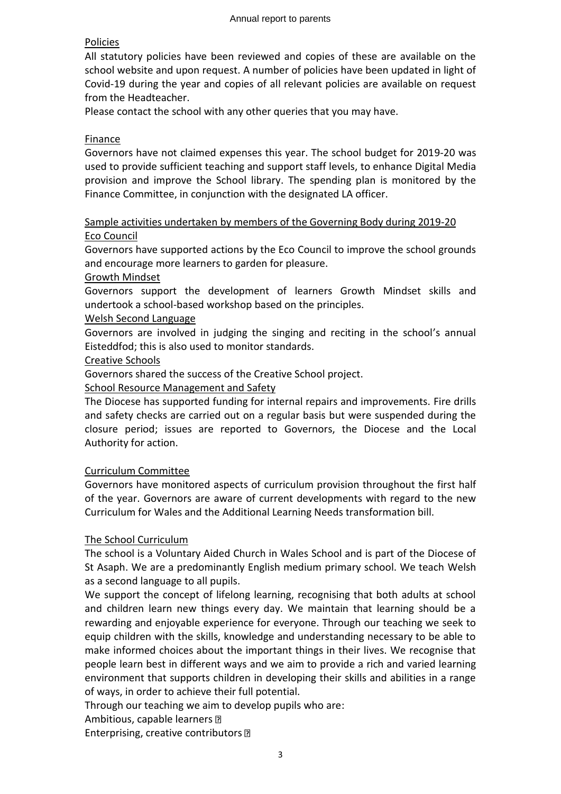## Policies

All statutory policies have been reviewed and copies of these are available on the school website and upon request. A number of policies have been updated in light of Covid-19 during the year and copies of all relevant policies are available on request from the Headteacher.

Please contact the school with any other queries that you may have.

## Finance

Governors have not claimed expenses this year. The school budget for 2019-20 was used to provide sufficient teaching and support staff levels, to enhance Digital Media provision and improve the School library. The spending plan is monitored by the Finance Committee, in conjunction with the designated LA officer.

## Sample activities undertaken by members of the Governing Body during 2019-20 Eco Council

Governors have supported actions by the Eco Council to improve the school grounds and encourage more learners to garden for pleasure.

## Growth Mindset

Governors support the development of learners Growth Mindset skills and undertook a school-based workshop based on the principles.

## Welsh Second Language

Governors are involved in judging the singing and reciting in the school's annual Eisteddfod; this is also used to monitor standards.

## Creative Schools

Governors shared the success of the Creative School project.

## School Resource Management and Safety

The Diocese has supported funding for internal repairs and improvements. Fire drills and safety checks are carried out on a regular basis but were suspended during the closure period; issues are reported to Governors, the Diocese and the Local Authority for action.

## Curriculum Committee

Governors have monitored aspects of curriculum provision throughout the first half of the year. Governors are aware of current developments with regard to the new Curriculum for Wales and the Additional Learning Needs transformation bill.

## The School Curriculum

The school is a Voluntary Aided Church in Wales School and is part of the Diocese of St Asaph. We are a predominantly English medium primary school. We teach Welsh as a second language to all pupils.

We support the concept of lifelong learning, recognising that both adults at school and children learn new things every day. We maintain that learning should be a rewarding and enjoyable experience for everyone. Through our teaching we seek to equip children with the skills, knowledge and understanding necessary to be able to make informed choices about the important things in their lives. We recognise that people learn best in different ways and we aim to provide a rich and varied learning environment that supports children in developing their skills and abilities in a range of ways, in order to achieve their full potential.

Through our teaching we aim to develop pupils who are:

Ambitious, capable learners 2

Enterprising, creative contributors **P**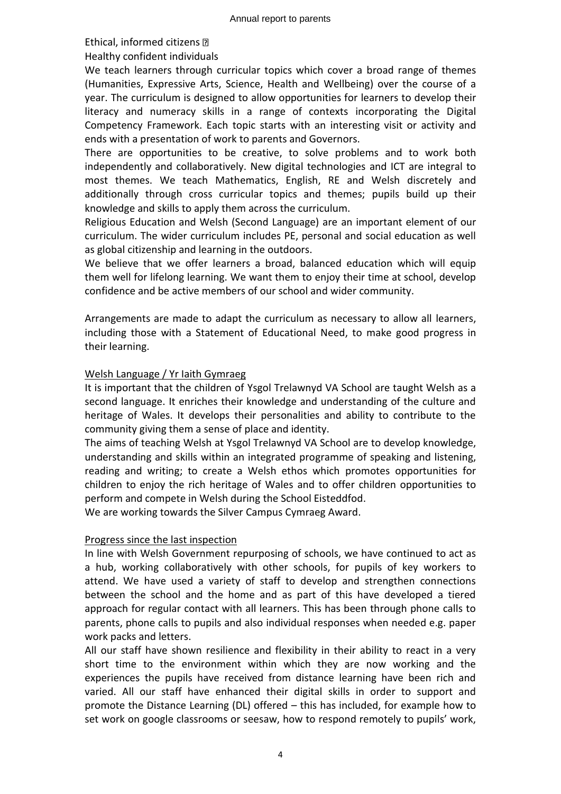#### Ethical, informed citizens

Healthy confident individuals

We teach learners through curricular topics which cover a broad range of themes (Humanities, Expressive Arts, Science, Health and Wellbeing) over the course of a year. The curriculum is designed to allow opportunities for learners to develop their literacy and numeracy skills in a range of contexts incorporating the Digital Competency Framework. Each topic starts with an interesting visit or activity and ends with a presentation of work to parents and Governors.

There are opportunities to be creative, to solve problems and to work both independently and collaboratively. New digital technologies and ICT are integral to most themes. We teach Mathematics, English, RE and Welsh discretely and additionally through cross curricular topics and themes; pupils build up their knowledge and skills to apply them across the curriculum.

Religious Education and Welsh (Second Language) are an important element of our curriculum. The wider curriculum includes PE, personal and social education as well as global citizenship and learning in the outdoors.

We believe that we offer learners a broad, balanced education which will equip them well for lifelong learning. We want them to enjoy their time at school, develop confidence and be active members of our school and wider community.

Arrangements are made to adapt the curriculum as necessary to allow all learners, including those with a Statement of Educational Need, to make good progress in their learning.

## Welsh Language / Yr Iaith Gymraeg

It is important that the children of Ysgol Trelawnyd VA School are taught Welsh as a second language. It enriches their knowledge and understanding of the culture and heritage of Wales. It develops their personalities and ability to contribute to the community giving them a sense of place and identity.

The aims of teaching Welsh at Ysgol Trelawnyd VA School are to develop knowledge, understanding and skills within an integrated programme of speaking and listening, reading and writing; to create a Welsh ethos which promotes opportunities for children to enjoy the rich heritage of Wales and to offer children opportunities to perform and compete in Welsh during the School Eisteddfod.

We are working towards the Silver Campus Cymraeg Award.

#### Progress since the last inspection

In line with Welsh Government repurposing of schools, we have continued to act as a hub, working collaboratively with other schools, for pupils of key workers to attend. We have used a variety of staff to develop and strengthen connections between the school and the home and as part of this have developed a tiered approach for regular contact with all learners. This has been through phone calls to parents, phone calls to pupils and also individual responses when needed e.g. paper work packs and letters.

All our staff have shown resilience and flexibility in their ability to react in a very short time to the environment within which they are now working and the experiences the pupils have received from distance learning have been rich and varied. All our staff have enhanced their digital skills in order to support and promote the Distance Learning (DL) offered – this has included, for example how to set work on google classrooms or seesaw, how to respond remotely to pupils' work,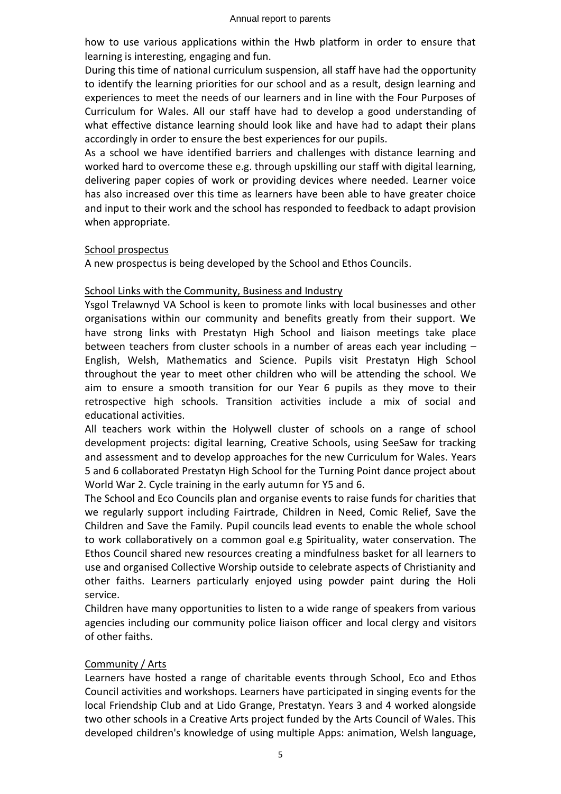how to use various applications within the Hwb platform in order to ensure that learning is interesting, engaging and fun.

During this time of national curriculum suspension, all staff have had the opportunity to identify the learning priorities for our school and as a result, design learning and experiences to meet the needs of our learners and in line with the Four Purposes of Curriculum for Wales. All our staff have had to develop a good understanding of what effective distance learning should look like and have had to adapt their plans accordingly in order to ensure the best experiences for our pupils.

As a school we have identified barriers and challenges with distance learning and worked hard to overcome these e.g. through upskilling our staff with digital learning, delivering paper copies of work or providing devices where needed. Learner voice has also increased over this time as learners have been able to have greater choice and input to their work and the school has responded to feedback to adapt provision when appropriate.

## School prospectus

A new prospectus is being developed by the School and Ethos Councils.

## School Links with the Community, Business and Industry

Ysgol Trelawnyd VA School is keen to promote links with local businesses and other organisations within our community and benefits greatly from their support. We have strong links with Prestatyn High School and liaison meetings take place between teachers from cluster schools in a number of areas each year including – English, Welsh, Mathematics and Science. Pupils visit Prestatyn High School throughout the year to meet other children who will be attending the school. We aim to ensure a smooth transition for our Year 6 pupils as they move to their retrospective high schools. Transition activities include a mix of social and educational activities.

All teachers work within the Holywell cluster of schools on a range of school development projects: digital learning, Creative Schools, using SeeSaw for tracking and assessment and to develop approaches for the new Curriculum for Wales. Years 5 and 6 collaborated Prestatyn High School for the Turning Point dance project about World War 2. Cycle training in the early autumn for Y5 and 6.

The School and Eco Councils plan and organise events to raise funds for charities that we regularly support including Fairtrade, Children in Need, Comic Relief, Save the Children and Save the Family. Pupil councils lead events to enable the whole school to work collaboratively on a common goal e.g Spirituality, water conservation. The Ethos Council shared new resources creating a mindfulness basket for all learners to use and organised Collective Worship outside to celebrate aspects of Christianity and other faiths. Learners particularly enjoyed using powder paint during the Holi service.

Children have many opportunities to listen to a wide range of speakers from various agencies including our community police liaison officer and local clergy and visitors of other faiths.

## Community / Arts

Learners have hosted a range of charitable events through School, Eco and Ethos Council activities and workshops. Learners have participated in singing events for the local Friendship Club and at Lido Grange, Prestatyn. Years 3 and 4 worked alongside two other schools in a Creative Arts project funded by the Arts Council of Wales. This developed children's knowledge of using multiple Apps: animation, Welsh language,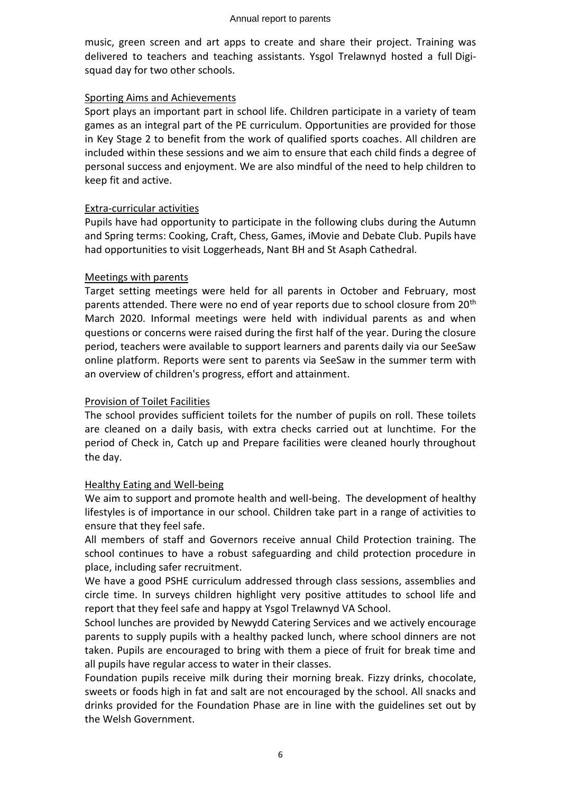music, green screen and art apps to create and share their project. Training was delivered to teachers and teaching assistants. Ysgol Trelawnyd hosted a full Digisquad day for two other schools.

## Sporting Aims and Achievements

Sport plays an important part in school life. Children participate in a variety of team games as an integral part of the PE curriculum. Opportunities are provided for those in Key Stage 2 to benefit from the work of qualified sports coaches. All children are included within these sessions and we aim to ensure that each child finds a degree of personal success and enjoyment. We are also mindful of the need to help children to keep fit and active.

## Extra-curricular activities

Pupils have had opportunity to participate in the following clubs during the Autumn and Spring terms: Cooking, Craft, Chess, Games, iMovie and Debate Club. Pupils have had opportunities to visit Loggerheads, Nant BH and St Asaph Cathedral.

## Meetings with parents

Target setting meetings were held for all parents in October and February, most parents attended. There were no end of year reports due to school closure from 20<sup>th</sup> March 2020. Informal meetings were held with individual parents as and when questions or concerns were raised during the first half of the year. During the closure period, teachers were available to support learners and parents daily via our SeeSaw online platform. Reports were sent to parents via SeeSaw in the summer term with an overview of children's progress, effort and attainment.

## Provision of Toilet Facilities

The school provides sufficient toilets for the number of pupils on roll. These toilets are cleaned on a daily basis, with extra checks carried out at lunchtime. For the period of Check in, Catch up and Prepare facilities were cleaned hourly throughout the day.

## Healthy Eating and Well-being

We aim to support and promote health and well-being. The development of healthy lifestyles is of importance in our school. Children take part in a range of activities to ensure that they feel safe.

All members of staff and Governors receive annual Child Protection training. The school continues to have a robust safeguarding and child protection procedure in place, including safer recruitment.

We have a good PSHE curriculum addressed through class sessions, assemblies and circle time. In surveys children highlight very positive attitudes to school life and report that they feel safe and happy at Ysgol Trelawnyd VA School.

School lunches are provided by Newydd Catering Services and we actively encourage parents to supply pupils with a healthy packed lunch, where school dinners are not taken. Pupils are encouraged to bring with them a piece of fruit for break time and all pupils have regular access to water in their classes.

Foundation pupils receive milk during their morning break. Fizzy drinks, chocolate, sweets or foods high in fat and salt are not encouraged by the school. All snacks and drinks provided for the Foundation Phase are in line with the guidelines set out by the Welsh Government.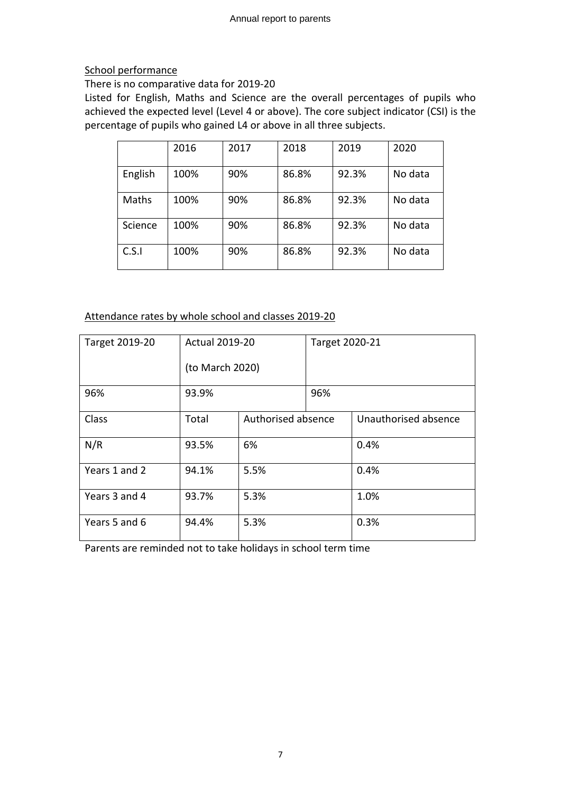## School performance

## There is no comparative data for 2019-20

Listed for English, Maths and Science are the overall percentages of pupils who achieved the expected level (Level 4 or above). The core subject indicator (CSI) is the percentage of pupils who gained L4 or above in all three subjects.

|         | 2016 | 2017 | 2018  | 2019  | 2020    |
|---------|------|------|-------|-------|---------|
| English | 100% | 90%  | 86.8% | 92.3% | No data |
| Maths   | 100% | 90%  | 86.8% | 92.3% | No data |
| Science | 100% | 90%  | 86.8% | 92.3% | No data |
| C.S.1   | 100% | 90%  | 86.8% | 92.3% | No data |

## Attendance rates by whole school and classes 2019-20

| Target 2019-20 | <b>Actual 2019-20</b> |                    | Target 2020-21 |                      |
|----------------|-----------------------|--------------------|----------------|----------------------|
|                | (to March 2020)       |                    |                |                      |
| 96%            | 93.9%                 |                    | 96%            |                      |
| Class          | Total                 | Authorised absence |                | Unauthorised absence |
| N/R            | 93.5%                 | 6%                 |                | 0.4%                 |
| Years 1 and 2  | 94.1%                 | 5.5%               |                | 0.4%                 |
| Years 3 and 4  | 93.7%                 | 5.3%               |                | 1.0%                 |
| Years 5 and 6  | 94.4%                 | 5.3%               |                | 0.3%                 |

Parents are reminded not to take holidays in school term time